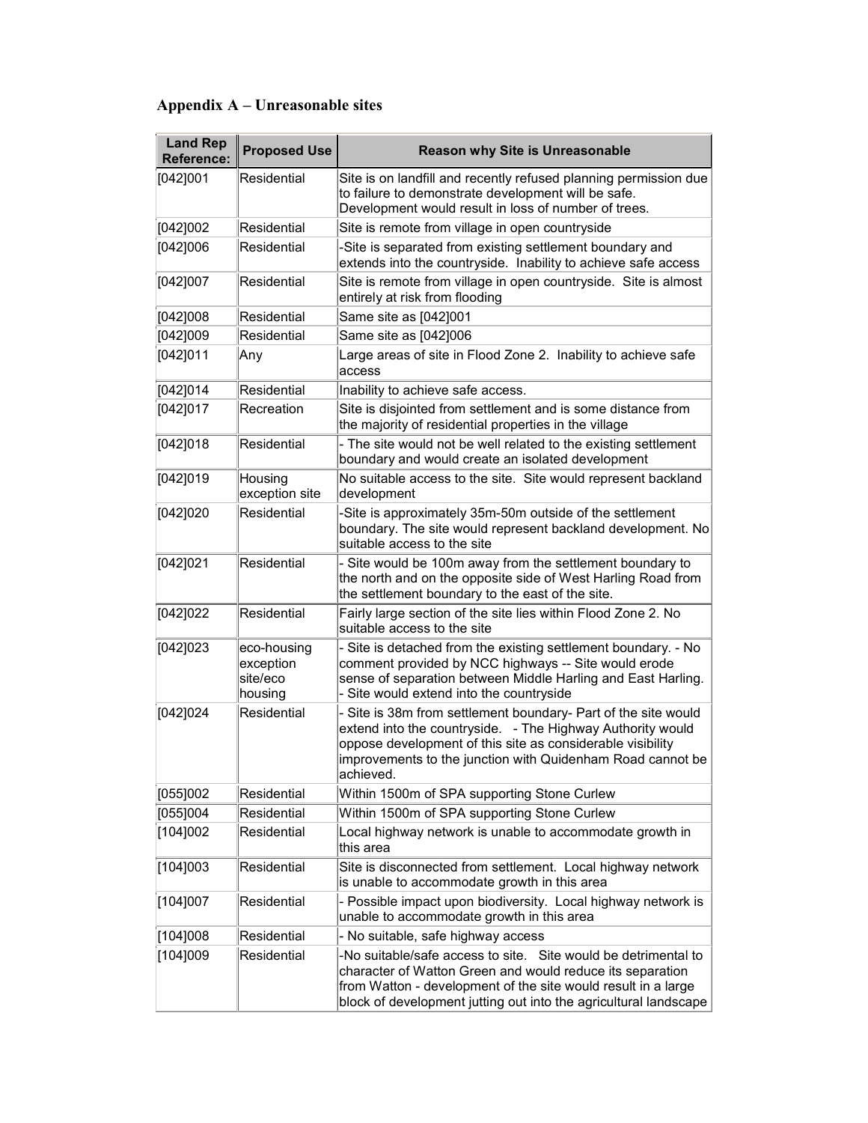## Appendix A – Unreasonable sites

| <b>Land Rep</b><br><b>Reference:</b> | <b>Proposed Use</b>                             | <b>Reason why Site is Unreasonable</b>                                                                                                                                                                                                                              |
|--------------------------------------|-------------------------------------------------|---------------------------------------------------------------------------------------------------------------------------------------------------------------------------------------------------------------------------------------------------------------------|
| [042]001                             | Residential                                     | Site is on landfill and recently refused planning permission due<br>to failure to demonstrate development will be safe.                                                                                                                                             |
|                                      |                                                 | Development would result in loss of number of trees.                                                                                                                                                                                                                |
| [042]002                             | Residential                                     | Site is remote from village in open countryside                                                                                                                                                                                                                     |
| [042]006                             | Residential                                     | -Site is separated from existing settlement boundary and<br>extends into the countryside. Inability to achieve safe access                                                                                                                                          |
| [042]007                             | Residential                                     | Site is remote from village in open countryside. Site is almost<br>entirely at risk from flooding                                                                                                                                                                   |
| [042]008                             | Residential                                     | Same site as [042]001                                                                                                                                                                                                                                               |
| [042]009                             | Residential                                     | Same site as [042]006                                                                                                                                                                                                                                               |
| [042]011                             | Any                                             | Large areas of site in Flood Zone 2. Inability to achieve safe<br>access                                                                                                                                                                                            |
| [042]014                             | Residential                                     | Inability to achieve safe access.                                                                                                                                                                                                                                   |
| [042]017                             | Recreation                                      | Site is disjointed from settlement and is some distance from<br>the majority of residential properties in the village                                                                                                                                               |
| [042]018                             | Residential                                     | - The site would not be well related to the existing settlement<br>boundary and would create an isolated development                                                                                                                                                |
| [042]019                             | Housing<br>exception site                       | No suitable access to the site. Site would represent backland<br>development                                                                                                                                                                                        |
| [042]020                             | Residential                                     | -Site is approximately 35m-50m outside of the settlement<br>boundary. The site would represent backland development. No<br>suitable access to the site                                                                                                              |
| [042]021                             | Residential                                     | Site would be 100m away from the settlement boundary to<br>the north and on the opposite side of West Harling Road from<br>the settlement boundary to the east of the site.                                                                                         |
| [042]022                             | Residential                                     | Fairly large section of the site lies within Flood Zone 2. No<br>suitable access to the site                                                                                                                                                                        |
| [042]023                             | eco-housing<br>exception<br>site/eco<br>housing | Site is detached from the existing settlement boundary. - No<br>comment provided by NCC highways -- Site would erode<br>sense of separation between Middle Harling and East Harling.<br>- Site would extend into the countryside                                    |
| [042]024                             | Residential                                     | Site is 38m from settlement boundary- Part of the site would<br>extend into the countryside. - The Highway Authority would<br>oppose development of this site as considerable visibility<br>improvements to the junction with Quidenham Road cannot be<br>achieved. |
| [055]002                             | Residential                                     | Within 1500m of SPA supporting Stone Curlew                                                                                                                                                                                                                         |
| [055]004                             | Residential                                     | Within 1500m of SPA supporting Stone Curlew                                                                                                                                                                                                                         |
| [104]002                             | Residential                                     | Local highway network is unable to accommodate growth in<br>this area                                                                                                                                                                                               |
| [104]003                             | Residential                                     | Site is disconnected from settlement. Local highway network<br>is unable to accommodate growth in this area                                                                                                                                                         |
| [104]007                             | Residential                                     | - Possible impact upon biodiversity. Local highway network is<br>unable to accommodate growth in this area                                                                                                                                                          |
| [104]008                             | Residential                                     | - No suitable, safe highway access                                                                                                                                                                                                                                  |
| [104]009                             | Residential                                     | -No suitable/safe access to site. Site would be detrimental to<br>character of Watton Green and would reduce its separation<br>from Watton - development of the site would result in a large<br>block of development jutting out into the agricultural landscape    |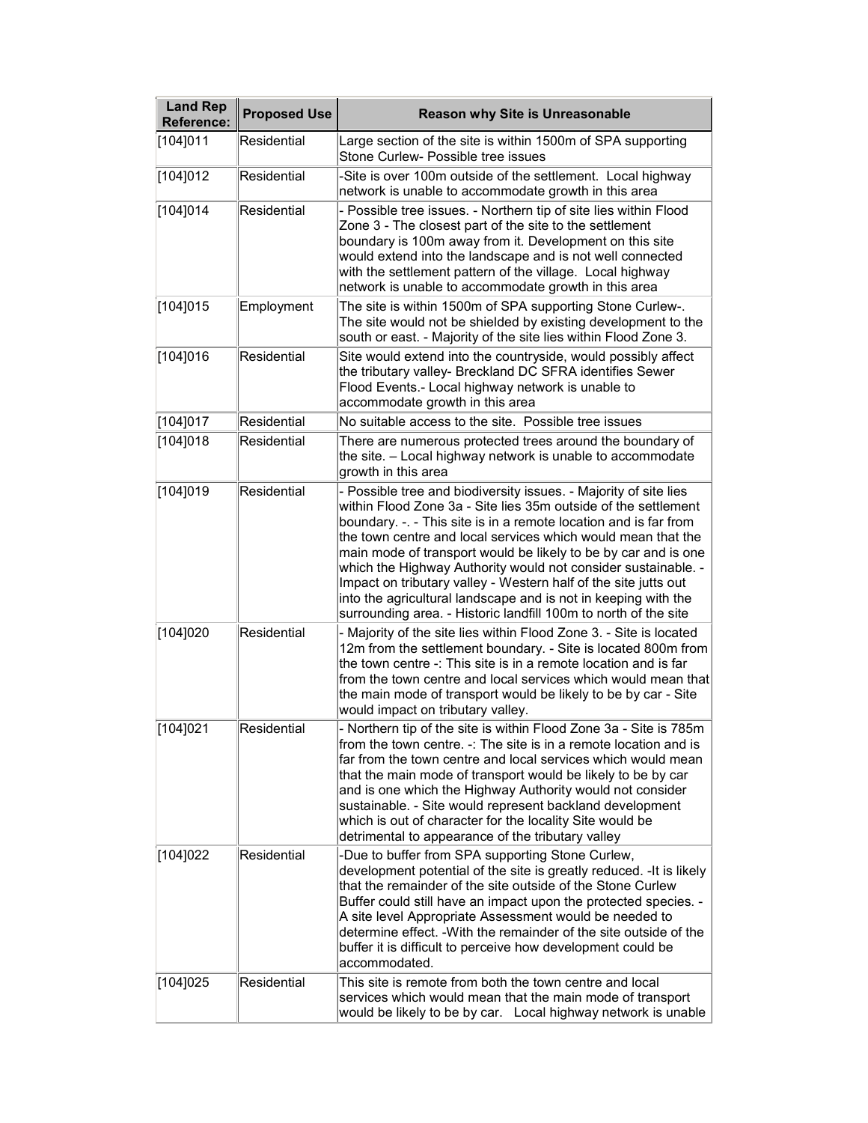| <b>Land Rep</b><br><b>Reference:</b> | <b>Proposed Use</b> | <b>Reason why Site is Unreasonable</b>                                                                                                                                                                                                                                                                                                                                                                                                                                                                                                                                                                            |
|--------------------------------------|---------------------|-------------------------------------------------------------------------------------------------------------------------------------------------------------------------------------------------------------------------------------------------------------------------------------------------------------------------------------------------------------------------------------------------------------------------------------------------------------------------------------------------------------------------------------------------------------------------------------------------------------------|
| [104]011                             | Residential         | Large section of the site is within 1500m of SPA supporting<br>Stone Curlew- Possible tree issues                                                                                                                                                                                                                                                                                                                                                                                                                                                                                                                 |
| [104]012                             | Residential         | -Site is over 100m outside of the settlement. Local highway<br>network is unable to accommodate growth in this area                                                                                                                                                                                                                                                                                                                                                                                                                                                                                               |
| [104]014                             | Residential         | - Possible tree issues. - Northern tip of site lies within Flood<br>Zone 3 - The closest part of the site to the settlement<br>boundary is 100m away from it. Development on this site<br>would extend into the landscape and is not well connected<br>with the settlement pattern of the village. Local highway<br>network is unable to accommodate growth in this area                                                                                                                                                                                                                                          |
| [104]015                             | Employment          | The site is within 1500m of SPA supporting Stone Curlew-.<br>The site would not be shielded by existing development to the<br>south or east. - Majority of the site lies within Flood Zone 3.                                                                                                                                                                                                                                                                                                                                                                                                                     |
| [104]016                             | Residential         | Site would extend into the countryside, would possibly affect<br>the tributary valley- Breckland DC SFRA identifies Sewer<br>Flood Events.- Local highway network is unable to<br>accommodate growth in this area                                                                                                                                                                                                                                                                                                                                                                                                 |
| [104]017                             | Residential         | No suitable access to the site. Possible tree issues                                                                                                                                                                                                                                                                                                                                                                                                                                                                                                                                                              |
| [104]018                             | Residential         | There are numerous protected trees around the boundary of<br>the site. - Local highway network is unable to accommodate<br>growth in this area                                                                                                                                                                                                                                                                                                                                                                                                                                                                    |
| [104]019                             | Residential         | - Possible tree and biodiversity issues. - Majority of site lies<br>within Flood Zone 3a - Site lies 35m outside of the settlement<br>boundary. -. - This site is in a remote location and is far from<br>the town centre and local services which would mean that the<br>main mode of transport would be likely to be by car and is one<br>which the Highway Authority would not consider sustainable. -<br>Impact on tributary valley - Western half of the site jutts out<br>into the agricultural landscape and is not in keeping with the<br>surrounding area. - Historic landfill 100m to north of the site |
| [104]020                             | Residential         | - Majority of the site lies within Flood Zone 3. - Site is located<br>12m from the settlement boundary. - Site is located 800m from<br>the town centre -: This site is in a remote location and is far<br>from the town centre and local services which would mean that<br>the main mode of transport would be likely to be by car - Site<br>would impact on tributary valley.                                                                                                                                                                                                                                    |
| [104]021                             | Residential         | - Northern tip of the site is within Flood Zone 3a - Site is 785m<br>from the town centre. -: The site is in a remote location and is<br>far from the town centre and local services which would mean<br>that the main mode of transport would be likely to be by car<br>and is one which the Highway Authority would not consider<br>sustainable. - Site would represent backland development<br>which is out of character for the locality Site would be<br>detrimental to appearance of the tributary valley                                                                                                   |
| [104]022                             | Residential         | -Due to buffer from SPA supporting Stone Curlew,<br>development potential of the site is greatly reduced. - It is likely<br>that the remainder of the site outside of the Stone Curlew<br>Buffer could still have an impact upon the protected species. -<br>A site level Appropriate Assessment would be needed to<br>determine effect. - With the remainder of the site outside of the<br>buffer it is difficult to perceive how development could be<br>accommodated.                                                                                                                                          |
| [104]025                             | Residential         | This site is remote from both the town centre and local<br>services which would mean that the main mode of transport<br>would be likely to be by car. Local highway network is unable                                                                                                                                                                                                                                                                                                                                                                                                                             |